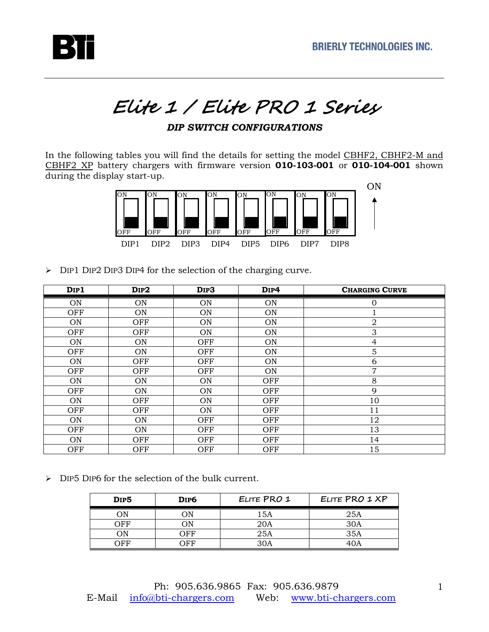

## Elite 1 / Elite PRO 1 Series

## *DIP SWITCH CONFIGURATIONS*

In the following tables you will find the details for setting the model CBHF2, CBHF2-M and CBHF2 XP battery chargers with firmware version **010-103-001** or **010-104-001** shown during the display start-up.



> DIP1 DIP2 DIP3 DIP4 for the selection of the charging curve.

| DIP1      | DIP2      | DIP3       | D <sub>IP4</sub> | <b>CHARGING CURVE</b> |
|-----------|-----------|------------|------------------|-----------------------|
| <b>ON</b> | <b>ON</b> | <b>ON</b>  | <b>ON</b>        | $\overline{0}$        |
| OFF       | ON        | <b>ON</b>  | ON               |                       |
| <b>ON</b> | OFF       | ON         | ON               | $\overline{a}$        |
| OFF       | OFF       | ON         | <b>ON</b>        | 3                     |
| <b>ON</b> | ON        | OFF        | ON               | $\overline{4}$        |
| OFF       | ON        | OFF        | ON               | 5                     |
| <b>ON</b> | OFF       | OFF        | <b>ON</b>        | 6                     |
| OFF       | OFF       | <b>OFF</b> | ON               | 7                     |
| <b>ON</b> | ON        | <b>ON</b>  | OFF              | 8                     |
| OFF       | <b>ON</b> | ON         | OFF              | 9                     |
| <b>ON</b> | OFF       | ON         | OFF              | 10                    |
| OFF       | OFF       | ON         | OFF              | 11                    |
| <b>ON</b> | ON        | OFF        | OFF              | 12                    |
| OFF       | <b>ON</b> | OFF        | OFF              | 13                    |
| ON        | OFF       | OFF        | OFF              | 14                    |
| OFF       | OFF       | OFF        | OFF              | 15                    |

 $\triangleright$  DIP5 DIP6 for the selection of the bulk current.

| D <sub>IP</sub> <sub>5</sub> | DIP <sub>6</sub> | ELITE PRO 1 | ELITE PRO 1 XP |
|------------------------------|------------------|-------------|----------------|
| ЭN                           | λN               | 15A         | 25A            |
| つFF                          | λN               | 20A         | 30A            |
| ОN                           | $\cap$ FF        | 25A         | 35A            |
| ) F F                        | ነ FF             | 30A         |                |

1